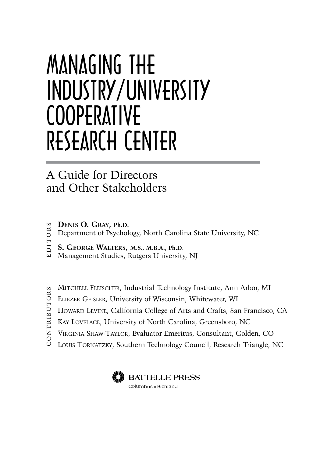# Managing the Industry/University **COOPERATIVE** Research Center

#### A Guide for Directors and Other Stakeholders

- **Denis O. Gray, Ph.D. DITORS** 
	- Department of Psychology, North Carolina State University, NC
	- **S. George Walters, M.S., M.B.A., Ph.D**.
	- Management Studies, Rutgers University, NJ
- C O N T R I B U T O R S ONTRIBUTORS
- Mitchell Fleischer, Industrial Technology Institute, Ann Arbor, MI
- Eliezer Geisler, University of Wisconsin, Whitewater, WI
- HOWARD LEVINE, California College of Arts and Crafts, San Francisco, CA
- Kay Lovelace, University of North Carolina, Greensboro, NC
- Virginia Shaw-Taylor, Evaluator Emeritus, Consultant, Golden, CO
- Louis Tornatzky, Southern Technology Council, Research Triangle, NC

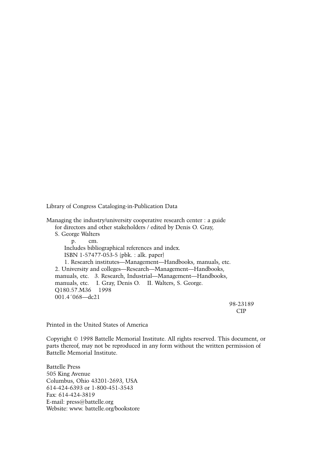Library of Congress Cataloging-in-Publication Data

Managing the industry/university cooperative research center : a guide for directors and other stakeholders / edited by Denis O. Gray, S. George Walters p. cm. Includes bibliographical references and index. ISBN 1-57477-053-5 (pbk. : alk. paper) 1. Research institutes—Management—Handbooks, manuals, etc. 2. University and colleges—Research—Management—Handbooks, manuals, etc. 3. Research, Industrial—Management—Handbooks, manuals, etc. I. Gray, Denis O. II. Walters, S. George. Q180.57.M36 1998 001.4´068—dc21

 98-23189 CIP

Printed in the United States of America

Copyright © 1998 Battelle Memorial Institute. All rights reserved. This document, or parts thereof, may not be reproduced in any form without the written permission of Battelle Memorial Institute.

Battelle Press 505 King Avenue Columbus, Ohio 43201-2693, USA 614-424-6393 or 1-800-451-3543 Fax: 614-424-3819 E-mail: press@battelle.org Website: www. battelle.org/bookstore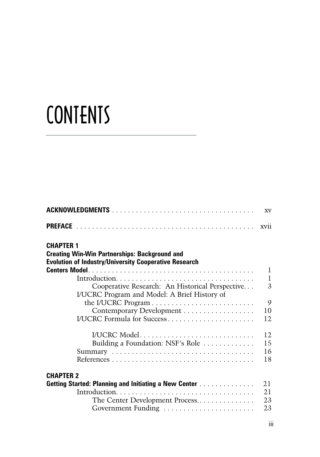# **CONTENTS**

|                                                                                                 | <b>XV</b>      |
|-------------------------------------------------------------------------------------------------|----------------|
|                                                                                                 | xvii           |
| <b>CHAPTER 1</b>                                                                                |                |
| <b>Creating Win-Win Partnerships: Background and</b>                                            |                |
| <b>Evolution of Industry/University Cooperative Research</b>                                    | $\mathbf{1}$   |
|                                                                                                 | $\mathbf{1}$   |
| Cooperative Research: An Historical Perspective<br>I/UCRC Program and Model: A Brief History of | $\overline{3}$ |
|                                                                                                 | 9              |
| Contemporary Development                                                                        | 10             |
| I/UCRC Formula for Success                                                                      | 12             |
| I/UCRC Model                                                                                    | 12             |
| Building a Foundation: NSF's Role $\dots\dots\dots\dots$                                        | 15             |
|                                                                                                 | 16             |
|                                                                                                 | 18             |
| <b>CHAPTER 2</b>                                                                                |                |
| <b>Getting Started: Planning and Initiating a New Center </b>                                   | 21             |
|                                                                                                 | 21             |
| The Center Development Process                                                                  | 23             |
| Government Funding                                                                              | 23             |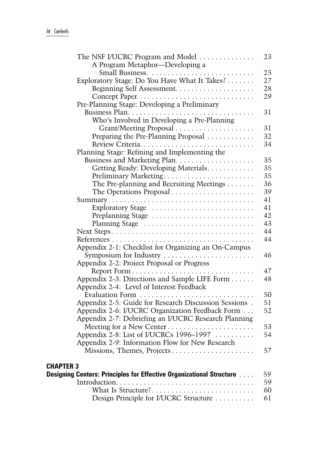| The NSF I/UCRC Program and Model                                                  | 23 |
|-----------------------------------------------------------------------------------|----|
| A Program Metaphor-Developing a                                                   |    |
|                                                                                   | 25 |
| Exploratory Stage: Do You Have What It Takes?                                     | 27 |
| Beginning Self Assessment                                                         | 28 |
| Concept Paper                                                                     | 29 |
| Pre-Planning Stage: Developing a Preliminary                                      |    |
|                                                                                   | 31 |
| Who's Involved in Developing a Pre-Planning                                       |    |
|                                                                                   | 31 |
| Preparing the Pre-Planning Proposal                                               | 32 |
|                                                                                   | 34 |
| Planning Stage: Refining and Implementing the                                     |    |
|                                                                                   | 35 |
| Getting Ready: Developing Materials.                                              | 35 |
| Preliminary Marketing                                                             | 35 |
| The Pre-planning and Recruiting Meetings                                          | 36 |
|                                                                                   | 39 |
|                                                                                   | 41 |
| Exploratory Stage                                                                 | 41 |
| Preplanning Stage                                                                 | 42 |
| Planning Stage                                                                    | 43 |
|                                                                                   | 44 |
|                                                                                   | 44 |
| Appendix 2-1: Checklist for Organizing an On-Campus                               |    |
| Symposium for Industry $\dots \dots \dots \dots \dots \dots \dots$                | 46 |
| Appendix 2-2: Project Proposal or Progress                                        |    |
|                                                                                   | 47 |
| Appendix 2-3: Directions and Sample LIFE Form                                     | 48 |
| Appendix 2-4: Level of Interest Feedback                                          |    |
| Evaluation Form                                                                   | 50 |
| Appendix 2-5: Guide for Research Discussion Sessions.                             | 51 |
| Appendix 2-6: I/UCRC Organization Feedback Form                                   | 52 |
| Appendix 2-7: Debriefing an I/UCRC Research Planning                              |    |
| Meeting for a New Center                                                          | 53 |
| Appendix 2-8: List of I/UCRCs 1996–1997                                           | 54 |
| Appendix 2-9: Information Flow for New Research                                   |    |
| Missions, Themes, Projects                                                        | 57 |
|                                                                                   |    |
| <b>CHAPTER 3</b>                                                                  |    |
| <b>Designing Centers: Principles for Effective Organizational Structure Algen</b> | 59 |
|                                                                                   | 59 |
| What Is Structure?                                                                | 60 |
| Design Principle for I/UCRC Structure                                             | 61 |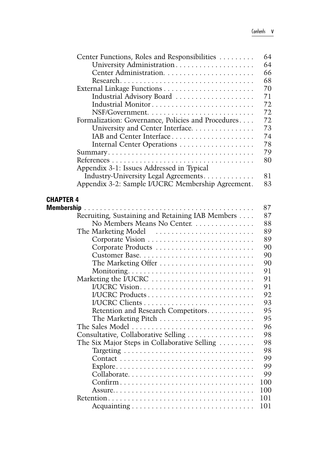| Center Functions, Roles and Responsibilities       | 64  |
|----------------------------------------------------|-----|
| University Administration                          | 64  |
|                                                    | 66  |
|                                                    | 68  |
|                                                    | 70  |
| Industrial Advisory Board                          | 71  |
|                                                    | 72  |
|                                                    | 72  |
| Formalization: Governance, Policies and Procedures | 72  |
| University and Center Interface.                   | 73  |
| IAB and Center Interface                           | 74  |
| Internal Center Operations                         | 78  |
|                                                    | 79  |
|                                                    | 80  |
| Appendix 3-1: Issues Addressed in Typical          |     |
| Industry-University Legal Agreements.              | 81  |
| Appendix 3-2: Sample I/UCRC Membership Agreement.  | 83  |
|                                                    |     |
| <b>CHAPTER 4</b>                                   |     |
| <b>Membership</b>                                  | 87  |
| Recruiting, Sustaining and Retaining IAB Members   | 87  |
| No Members Means No Center.                        | 88  |
| The Marketing Model                                | 89  |
|                                                    | 89  |
|                                                    | 90  |
|                                                    | 90  |
| The Marketing Offer                                | 90  |
|                                                    | 91  |
| Marketing the I/UCRC                               | 91  |
|                                                    | 91  |
| I/UCRC Products                                    | 92  |
|                                                    | 93  |
| Retention and Research Competitors                 | 95  |
|                                                    | 95  |
| The Sales Model                                    | 96  |
| Consultative, Collaborative Selling                | 98  |
| The Six Major Steps in Collaborative Selling       | 98  |
|                                                    | 98  |
|                                                    | 99  |
|                                                    | 99  |
| Collaborate                                        | 99  |
| Confirm                                            | 100 |
|                                                    | 100 |
|                                                    | 101 |
|                                                    | 101 |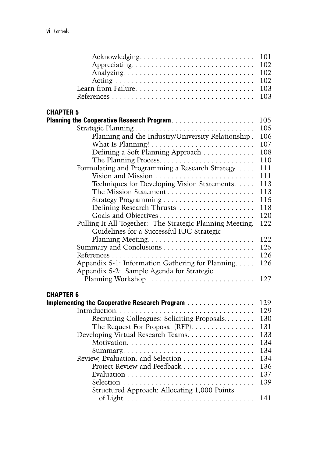| Acknowledging                                            | 101 |
|----------------------------------------------------------|-----|
|                                                          | 102 |
|                                                          | 102 |
|                                                          | 102 |
| Learn from Failure                                       | 103 |
|                                                          | 103 |
|                                                          |     |
| <b>CHAPTER 5</b>                                         |     |
| Planning the Cooperative Research Program                | 105 |
|                                                          | 105 |
| Planning and the Industry/University Relationship.       | 106 |
|                                                          | 107 |
|                                                          | 108 |
| Defining a Soft Planning Approach                        | 110 |
|                                                          |     |
| Formulating and Programming a Research Strategy          | 111 |
| Vision and Mission                                       | 111 |
| Techniques for Developing Vision Statements.             | 113 |
|                                                          | 113 |
|                                                          | 115 |
| Defining Research Thrusts                                | 118 |
|                                                          | 120 |
| Pulling It All Together: The Strategic Planning Meeting. | 122 |
| Guidelines for a Successful IUC Strategic                |     |
|                                                          | 122 |
|                                                          | 125 |
|                                                          | 126 |
| Appendix 5-1: Information Gathering for Planning         | 126 |
| Appendix 5-2: Sample Agenda for Strategic                |     |
| Planning Workshop                                        | 127 |
|                                                          |     |
| <b>CHAPTER 6</b>                                         |     |
| Implementing the Cooperative Research Program            | 129 |
|                                                          | 129 |
| Recruiting Colleagues: Soliciting Proposals              | 130 |
| The Request For Proposal $(RFP)$                         | 131 |
|                                                          | 133 |
| Developing Virtual Research Teams.                       | 134 |
|                                                          |     |
|                                                          | 134 |
| Review, Evaluation, and Selection                        | 134 |
| Project Review and Feedback                              | 136 |
|                                                          | 137 |
|                                                          | 139 |
| Structured Approach: Allocating 1,000 Points             |     |
|                                                          | 141 |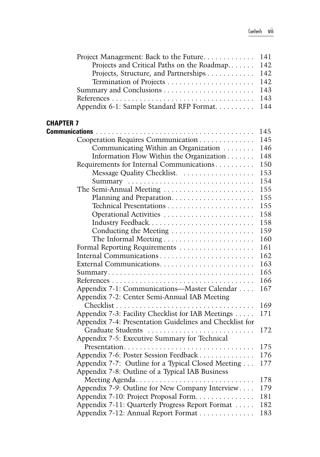| Project Management: Back to the Future                           | 141 |
|------------------------------------------------------------------|-----|
| Projects and Critical Paths on the Roadmap                       | 142 |
| Projects, Structure, and Partnerships                            | 142 |
|                                                                  | 142 |
|                                                                  | 143 |
|                                                                  | 143 |
| Appendix 6-1: Sample Standard RFP Format                         | 144 |
| <b>CHAPTER 7</b>                                                 |     |
|                                                                  | 145 |
| Cooperation Requires Communication                               | 145 |
| Communicating Within an Organization                             | 146 |
| Information Flow Within the Organization                         | 148 |
| Requirements for Internal Communications                         | 150 |
| Message Quality Checklist.                                       | 153 |
| Summary                                                          | 154 |
| The Semi-Annual Meeting                                          | 155 |
|                                                                  | 155 |
|                                                                  | 155 |
|                                                                  | 158 |
| Industry Feedback                                                | 158 |
| Conducting the Meeting                                           | 159 |
| The Informal Meeting $\dots \dots \dots \dots \dots \dots \dots$ | 160 |
|                                                                  | 161 |
|                                                                  | 162 |
|                                                                  | 163 |
|                                                                  | 165 |
|                                                                  | 166 |
| Appendix 7-1: Communications-Master Calendar                     | 167 |
| Appendix 7-2: Center Semi-Annual IAB Meeting                     |     |
|                                                                  | 169 |
| Appendix 7-3: Facility Checklist for IAB Meetings                | 171 |
| Appendix 7-4: Presentation Guidelines and Checklist for          |     |
| Graduate Students                                                | 172 |
| Appendix 7-5: Executive Summary for Technical                    |     |
|                                                                  | 175 |
| Appendix 7-6: Poster Session Feedback                            | 176 |
| Appendix 7-7: Outline for a Typical Closed Meeting               | 177 |
| Appendix 7-8: Outline of a Typical IAB Business                  |     |
| Meeting Agenda                                                   | 178 |
| Appendix 7-9: Outline for New Company Interview                  | 179 |
| Appendix 7-10: Project Proposal Form                             | 181 |
| Appendix 7-11: Quarterly Progress Report Format                  | 182 |
| Appendix 7-12: Annual Report Format                              | 183 |
|                                                                  |     |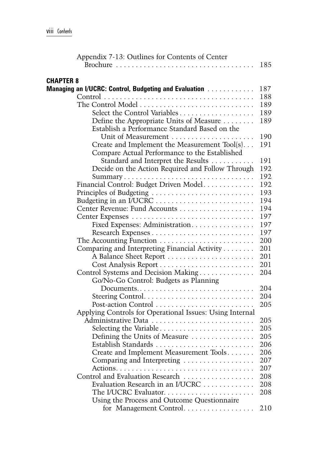| Appendix 7-13: Outlines for Contents of Center                               |            |
|------------------------------------------------------------------------------|------------|
|                                                                              | 185        |
| <b>CHAPTER 8</b>                                                             |            |
| Managing an I/UCRC: Control, Budgeting and Evaluation                        | 187        |
|                                                                              | 188        |
| The Control Model                                                            | 189        |
|                                                                              | 189        |
| Define the Appropriate Units of Measure                                      | 189        |
| Establish a Performance Standard Based on the                                |            |
|                                                                              | 190        |
| Create and Implement the Measurement Tool(s)                                 | 191        |
| Compare Actual Performance to the Established                                |            |
| Standard and Interpret the Results                                           | 191        |
| Decide on the Action Required and Follow Through                             | 192        |
| Summary                                                                      | 192        |
| Financial Control: Budget Driven Model                                       | 192        |
| Principles of Budgeting                                                      | 193        |
|                                                                              | 194        |
| Center Revenue: Fund Accounts                                                | 194        |
|                                                                              | 197        |
| Fixed Expenses: Administration.                                              | 197        |
|                                                                              | 197        |
|                                                                              | 200        |
| Comparing and Interpreting Financial Activity                                | 201        |
| A Balance Sheet Report                                                       | 201<br>201 |
| Control Systems and Decision Making                                          | 204        |
| Go/No-Go Control: Budgets as Planning                                        |            |
| $Document s. \ldots \ldots \ldots \ldots \ldots \ldots \ldots \ldots \ldots$ | 204        |
|                                                                              | 204        |
| Post-action Control                                                          | 205        |
| Applying Controls for Operational Issues: Using Internal                     |            |
| Administrative Data                                                          | 205        |
|                                                                              | 205        |
| Defining the Units of Measure $\dots \dots \dots \dots$                      | 205        |
|                                                                              | 206        |
| Create and Implement Measurement Tools                                       | 206        |
| Comparing and Interpreting                                                   | 207        |
|                                                                              | 207        |
| Control and Evaluation Research                                              | 208        |
| Evaluation Research in an I/UCRC                                             | 208        |
|                                                                              | 208        |
| Using the Process and Outcome Questionnaire                                  |            |
| for Management Control                                                       | 210        |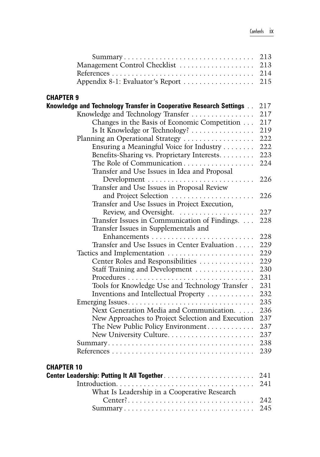| Summary                                                            | 213 |
|--------------------------------------------------------------------|-----|
| Management Control Checklist                                       | 213 |
|                                                                    | 214 |
| Appendix 8-1: Evaluator's Report                                   | 215 |
| <b>CHAPTER 9</b>                                                   |     |
| Knowledge and Technology Transfer in Cooperative Research Settings | 217 |
| Knowledge and Technology Transfer                                  | 217 |
| Changes in the Basis of Economic Competition                       | 217 |
| Is It Knowledge or Technology?                                     | 219 |
| Planning an Operational Strategy                                   | 222 |
| Ensuring a Meaningful Voice for Industry                           | 222 |
| Benefits-Sharing vs. Proprietary Interests.                        | 223 |
| The Role of Communication                                          | 224 |
| Transfer and Use Issues in Idea and Proposal                       |     |
|                                                                    | 226 |
| Transfer and Use Issues in Proposal Review                         |     |
| and Project Selection                                              | 226 |
| Transfer and Use Issues in Project Execution,                      |     |
|                                                                    | 227 |
| Transfer Issues in Communication of Findings.                      | 228 |
| Transfer Issues in Supplementals and                               |     |
|                                                                    | 228 |
| Transfer and Use Issues in Center Evaluation                       | 229 |
|                                                                    | 229 |
| Center Roles and Responsibilities                                  | 229 |
| Staff Training and Development                                     | 230 |
|                                                                    | 231 |
| Tools for Knowledge Use and Technology Transfer.                   | 231 |
| Inventions and Intellectual Property                               | 232 |
|                                                                    | 235 |
| Next Generation Media and Communication.                           | 236 |
| New Approaches to Project Selection and Execution                  | 237 |
| The New Public Policy Environment                                  | 237 |
|                                                                    | 237 |
|                                                                    | 238 |
|                                                                    | 239 |
| <b>CHAPTER 10</b>                                                  |     |
|                                                                    | 241 |
|                                                                    | 241 |
| What Is Leadership in a Cooperative Research                       |     |
|                                                                    | 242 |
|                                                                    | 245 |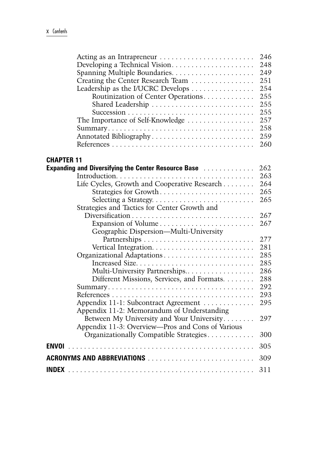| Acting as an Intrapreneur                                                                                                    | 246 |
|------------------------------------------------------------------------------------------------------------------------------|-----|
|                                                                                                                              | 248 |
|                                                                                                                              | 249 |
| Creating the Center Research Team                                                                                            | 251 |
| Leadership as the I/UCRC Develops                                                                                            | 254 |
| Routinization of Center Operations                                                                                           | 255 |
|                                                                                                                              | 255 |
|                                                                                                                              | 255 |
| The Importance of Self-Knowledge                                                                                             | 257 |
|                                                                                                                              | 258 |
| Annotated Bibliography                                                                                                       | 259 |
|                                                                                                                              | 260 |
|                                                                                                                              |     |
| <b>CHAPTER 11</b>                                                                                                            |     |
| <b>Expanding and Diversifying the Center Resource Base Alexandrical Diversion Expanding and Diversifying the Center Base</b> | 262 |
|                                                                                                                              | 263 |
| Life Cycles, Growth and Cooperative Research                                                                                 | 264 |
| Strategies for Growth                                                                                                        | 265 |
|                                                                                                                              | 265 |
| Strategies and Tactics for Center Growth and                                                                                 |     |
|                                                                                                                              | 267 |
| Expansion of Volume                                                                                                          | 267 |
| Geographic Dispersion-Multi-University                                                                                       |     |
|                                                                                                                              | 277 |
|                                                                                                                              | 281 |
|                                                                                                                              | 285 |
| Increased Size                                                                                                               | 285 |
| Multi-University Partnerships                                                                                                | 286 |
| Different Missions, Services, and Formats                                                                                    | 288 |
|                                                                                                                              | 292 |
|                                                                                                                              | 293 |
| Appendix 11-1: Subcontract Agreement                                                                                         | 295 |
| Appendix 11-2: Memorandum of Understanding                                                                                   |     |
| Between My University and Your University                                                                                    | 297 |
| Appendix 11-3: Overview—Pros and Cons of Various                                                                             |     |
| Organizationally Compatible Strategies                                                                                       | 300 |
| <b>ENVOI</b>                                                                                                                 | 305 |
|                                                                                                                              | 309 |
|                                                                                                                              | 311 |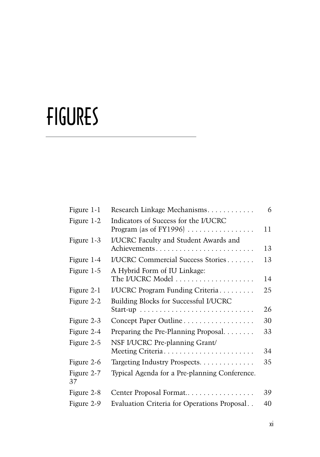# fIGURES

| Figure 1-1       | Research Linkage Mechanisms.                                                                        | 6  |
|------------------|-----------------------------------------------------------------------------------------------------|----|
| Figure 1-2       | Indicators of Success for the I/UCRC<br>Program (as of FY1996) $\ldots \ldots \ldots \ldots \ldots$ | 11 |
| Figure 1-3       | I/UCRC Faculty and Student Awards and<br>Achievements                                               | 13 |
| Figure 1-4       | <b>I/UCRC Commercial Success Stories</b>                                                            | 13 |
| Figure 1-5       | A Hybrid Form of IU Linkage:<br>The I/UCRC Model                                                    | 14 |
| Figure 2-1       | I/UCRC Program Funding Criteria                                                                     | 25 |
| Figure 2-2       | Building Blocks for Successful I/UCRC                                                               | 26 |
| Figure 2-3       | Concept Paper Outline                                                                               | 30 |
| Figure 2-4       | Preparing the Pre-Planning Proposal.                                                                | 33 |
| Figure 2-5       | NSF I/UCRC Pre-planning Grant/                                                                      | 34 |
| Figure 2-6       | Targeting Industry Prospects.                                                                       | 35 |
| Figure 2-7<br>37 | Typical Agenda for a Pre-planning Conference.                                                       |    |
| Figure 2-8       | Center Proposal Format                                                                              | 39 |
| Figure 2-9       | Evaluation Criteria for Operations Proposal                                                         | 40 |
|                  |                                                                                                     |    |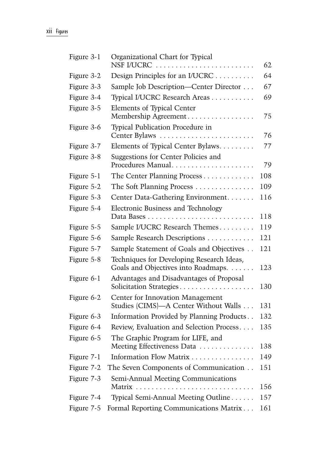| Figure 3-1 | Organizational Chart for Typical<br>NSF I/UCRC                                   | 62  |
|------------|----------------------------------------------------------------------------------|-----|
| Figure 3-2 | Design Principles for an I/UCRC                                                  | 64  |
| Figure 3-3 | Sample Job Description-Center Director                                           | 67  |
| Figure 3-4 | Typical I/UCRC Research Areas                                                    | 69  |
| Figure 3-5 | <b>Elements of Typical Center</b><br>Membership Agreement                        | 75  |
| Figure 3-6 | Typical Publication Procedure in<br>Center Bylaws                                | 76  |
| Figure 3-7 | Elements of Typical Center Bylaws.                                               | 77  |
| Figure 3-8 | Suggestions for Center Policies and<br>Procedures Manual                         | 79  |
| Figure 5-1 | The Center Planning Process                                                      | 108 |
| Figure 5-2 | The Soft Planning Process                                                        | 109 |
| Figure 5-3 | Center Data-Gathering Environment                                                | 116 |
| Figure 5-4 | Electronic Business and Technology                                               | 118 |
| Figure 5-5 | Sample I/UCRC Research Themes                                                    | 119 |
| Figure 5-6 | Sample Research Descriptions                                                     | 121 |
| Figure 5-7 | Sample Statement of Goals and Objectives                                         | 121 |
| Figure 5-8 | Techniques for Developing Research Ideas,<br>Goals and Objectives into Roadmaps. | 123 |
| Figure 6-1 | Advantages and Disadvantages of Proposal<br>Solicitation Strategies              | 130 |
| Figure 6-2 | Center for Innovation Management<br>Studies (CIMS)-A Center Without Walls        | 131 |
| Figure 6-3 | Information Provided by Planning Products                                        | 132 |
| Figure 6-4 | Review, Evaluation and Selection Process                                         | 135 |
| Figure 6-5 | The Graphic Program for LIFE, and<br>Meeting Effectiveness Data                  | 138 |
| Figure 7-1 | Information Flow Matrix                                                          | 149 |
| Figure 7-2 | The Seven Components of Communication                                            | 151 |
| Figure 7-3 | Semi-Annual Meeting Communications                                               | 156 |
| Figure 7-4 | Typical Semi-Annual Meeting Outline                                              | 157 |
| Figure 7-5 | Formal Reporting Communications Matrix                                           | 161 |
|            |                                                                                  |     |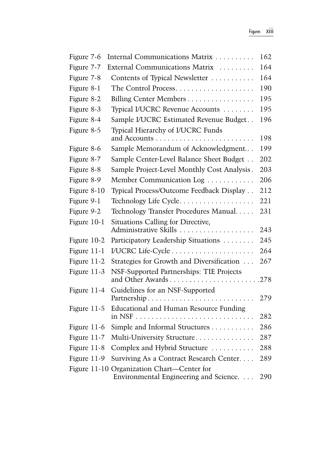| Figure 7-6  | Internal Communications Matrix                                                       | 162 |
|-------------|--------------------------------------------------------------------------------------|-----|
| Figure 7-7  | External Communications Matrix                                                       | 164 |
| Figure 7-8  | Contents of Typical Newsletter                                                       | 164 |
| Figure 8-1  | The Control Process                                                                  | 190 |
| Figure 8-2  | Billing Center Members                                                               | 195 |
| Figure 8-3  | Typical I/UCRC Revenue Accounts                                                      | 195 |
| Figure 8-4  | Sample I/UCRC Estimated Revenue Budget                                               | 196 |
| Figure 8-5  | Typical Hierarchy of I/UCRC Funds                                                    | 198 |
| Figure 8-6  | Sample Memorandum of Acknowledgment                                                  | 199 |
| Figure 8-7  | Sample Center-Level Balance Sheet Budget                                             | 202 |
| Figure 8-8  | Sample Project-Level Monthly Cost Analysis.                                          | 203 |
| Figure 8-9  | Member Communication Log                                                             | 206 |
| Figure 8-10 | Typical Process/Outcome Feedback Display                                             | 212 |
| Figure 9-1  | Technology Life Cycle                                                                | 221 |
| Figure 9-2  | Technology Transfer Procedures Manual                                                | 231 |
| Figure 10-1 | Situations Calling for Directive,<br>Administrative Skills                           | 243 |
| Figure 10-2 | Participatory Leadership Situations                                                  | 245 |
| Figure 11-1 |                                                                                      | 264 |
| Figure 11-2 | Strategies for Growth and Diversification                                            | 267 |
| Figure 11-3 | NSF-Supported Partnerships: TIE Projects<br>and Other Awards278                      |     |
| Figure 11-4 | Guidelines for an NSF-Supported                                                      | 279 |
| Figure 11-5 | Educational and Human Resource Funding                                               | 282 |
| Figure 11-6 | Simple and Informal Structures                                                       | 286 |
| Figure 11-7 | Multi-University Structure                                                           | 287 |
| Figure 11-8 | Complex and Hybrid Structure                                                         | 288 |
| Figure 11-9 | Surviving As a Contract Research Center                                              | 289 |
|             | Figure 11-10 Organization Chart-Center for<br>Environmental Engineering and Science. | 290 |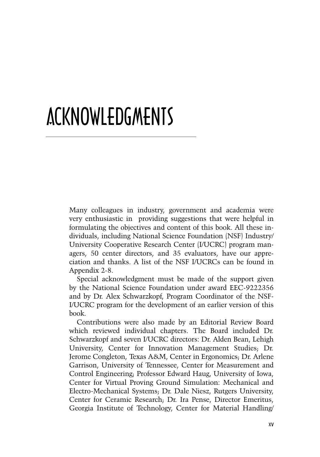## acknowledgments

Many colleagues in industry, government and academia were very enthusiastic in providing suggestions that were helpful in formulating the objectives and content of this book. All these individuals, including National Science Foundation (NSF) Industry/ University Cooperative Research Center (I/UCRC) program managers, 50 center directors, and 35 evaluators, have our appreciation and thanks. A list of the NSF I/UCRCs can be found in Appendix 2-8.

Special acknowledgment must be made of the support given by the National Science Foundation under award EEC-9222356 and by Dr. Alex Schwarzkopf, Program Coordinator of the NSF-I/UCRC program for the development of an earlier version of this book.

Contributions were also made by an Editorial Review Board which reviewed individual chapters. The Board included Dr. Schwarzkopf and seven I/UCRC directors: Dr. Alden Bean, Lehigh University, Center for Innovation Management Studies; Dr. Jerome Congleton, Texas A&M, Center in Ergonomics; Dr. Arlene Garrison, University of Tennessee, Center for Measurement and Control Engineering; Professor Edward Haug, University of Iowa, Center for Virtual Proving Ground Simulation: Mechanical and Electro-Mechanical Systems; Dr. Dale Niesz, Rutgers University, Center for Ceramic Research; Dr. Ira Pense, Director Emeritus, Georgia Institute of Technology, Center for Material Handling/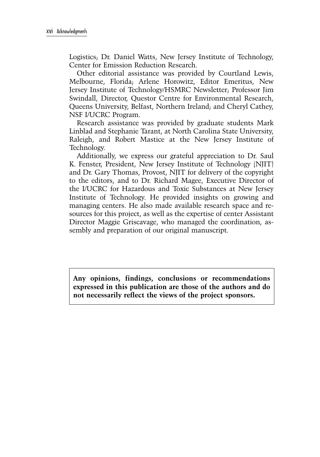Logistics; Dr. Daniel Watts, New Jersey Institute of Technology, Center for Emission Reduction Research.

Other editorial assistance was provided by Courtland Lewis, Melbourne, Florida; Arlene Horowitz, Editor Emeritus, New Jersey Institute of Technology/HSMRC Newsletter; Professor Jim Swindall, Director, Questor Centre for Environmental Research, Queens University, Belfast, Northern Ireland; and Cheryl Cathey, NSF I/UCRC Program.

Research assistance was provided by graduate students Mark Linblad and Stephanie Tarant, at North Carolina State University, Raleigh, and Robert Mastice at the New Jersey Institute of Technology.

Additionally, we express our grateful appreciation to Dr. Saul K. Fenster, President, New Jersey Institute of Technology (NJIT) and Dr. Gary Thomas, Provost, NJIT for delivery of the copyright to the editors, and to Dr. Richard Magee, Executive Director of the I/UCRC for Hazardous and Toxic Substances at New Jersey Institute of Technology. He provided insights on growing and managing centers. He also made available research space and resources for this project, as well as the expertise of center Assistant Director Maggie Griscavage, who managed the coordination, assembly and preparation of our original manuscript.

**Any opinions, findings, conclusions or recommendations expressed in this publication are those of the authors and do not necessarily reflect the views of the project sponsors.**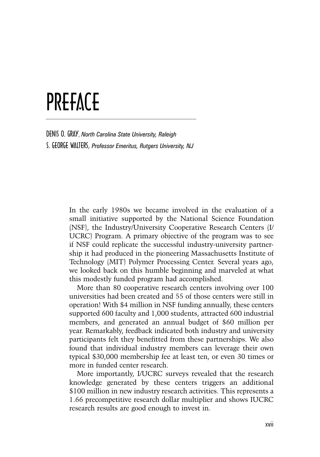### PREFACE

Denis O. Gray, *North Carolina State University, Raleigh* S. George Walters, *Professor Emeritus, Rutgers University, NJ*

> In the early 1980s we became involved in the evaluation of a small initiative supported by the National Science Foundation (NSF), the Industry/University Cooperative Research Centers (I/ UCRC) Program. A primary objective of the program was to see if NSF could replicate the successful industry-university partnership it had produced in the pioneering Massachusetts Institute of Technology (MIT) Polymer Processing Center. Several years ago, we looked back on this humble beginning and marveled at what this modestly funded program had accomplished.

> More than 80 cooperative research centers involving over 100 universities had been created and 55 of those centers were still in operation! With \$4 million in NSF funding annually, these centers supported 600 faculty and 1,000 students, attracted 600 industrial members, and generated an annual budget of \$60 million per year. Remarkably, feedback indicated both industry and university participants felt they benefitted from these partnerships. We also found that individual industry members can leverage their own typical \$30,000 membership fee at least ten, or even 30 times or more in funded center research.

> More importantly, I/UCRC surveys revealed that the research knowledge generated by these centers triggers an additional \$100 million in new industry research activities. This represents a 1.66 precompetitive research dollar multiplier and shows IUCRC research results are good enough to invest in.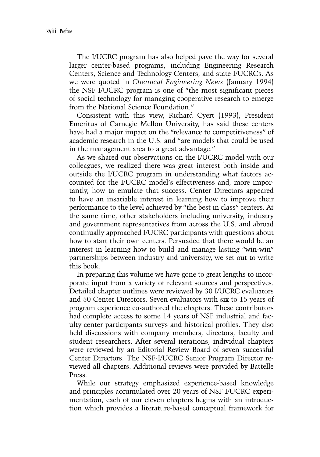The I/UCRC program has also helped pave the way for several larger center-based programs, including Engineering Research Centers, Science and Technology Centers, and state I/UCRCs. As we were quoted in *Chemical Engineering News* (January 1994) the NSF I/UCRC program is one of "the most significant pieces of social technology for managing cooperative research to emerge from the National Science Foundation."

Consistent with this view, Richard Cyert (1993), President Emeritus of Carnegie Mellon University, has said these centers have had a major impact on the "relevance to competitiveness" of academic research in the U.S. and "are models that could be used in the management area to a great advantage."

As we shared our observations on the I/UCRC model with our colleagues, we realized there was great interest both inside and outside the I/UCRC program in understanding what factors accounted for the I/UCRC model's effectiveness and, more importantly, how to emulate that success. Center Directors appeared to have an insatiable interest in learning how to improve their performance to the level achieved by "the best in class" centers. At the same time, other stakeholders including university, industry and government representatives from across the U.S. and abroad continually approached I/UCRC participants with questions about how to start their own centers. Persuaded that there would be an interest in learning how to build and manage lasting "win-win" partnerships between industry and university, we set out to write this book.

In preparing this volume we have gone to great lengths to incorporate input from a variety of relevant sources and perspectives. Detailed chapter outlines were reviewed by 30 I/UCRC evaluators and 50 Center Directors. Seven evaluators with six to 15 years of program experience co-authored the chapters. These contributors had complete access to some 14 years of NSF industrial and faculty center participants surveys and historical profiles. They also held discussions with company members, directors, faculty and student researchers. After several iterations, individual chapters were reviewed by an Editorial Review Board of seven successful Center Directors. The NSF-I/UCRC Senior Program Director reviewed all chapters. Additional reviews were provided by Battelle Press.

While our strategy emphasized experience-based knowledge and principles accumulated over 20 years of NSF I/UCRC experimentation, each of our eleven chapters begins with an introduction which provides a literature-based conceptual framework for